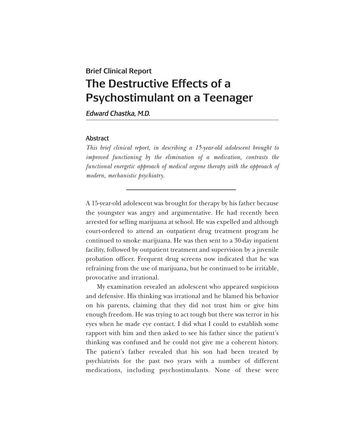## Brief Clinical Report The Destructive Effects of a Psychostimulant on a Teenager

*Edward Chastka, M.D.*

## Abstract

*This brief clinical report, in describing a 15-year-old adolescent brought to improved functioning by the elimination of a medication, contrasts the functional energetic approach of medical orgone therapy with the approach of modern, mechanistic psychiatry.*

A 15-year-old adolescent was brought for therapy by his father because the youngster was angry and argumentative. He had recently been arrested for selling marijuana at school. He was expelled and although court-ordered to attend an outpatient drug treatment program he continued to smoke marijuana. He was then sent to a 30-day inpatient facility, followed by outpatient treatment and supervision by a juvenile probation officer. Frequent drug screens now indicated that he was refraining from the use of marijuana, but he continued to be irritable, provocative and irrational.

My examination revealed an adolescent who appeared suspicious and defensive. His thinking was irrational and he blamed his behavior on his parents, claiming that they did not trust him or give him enough freedom. He was trying to act tough but there was terror in his eyes when he made eye contact. I did what I could to establish some rapport with him and then asked to see his father since the patient's thinking was confused and he could not give me a coherent history. The patient's father revealed that his son had been treated by psychiatrists for the past two years with a number of different medications, including psychostimulants. None of these were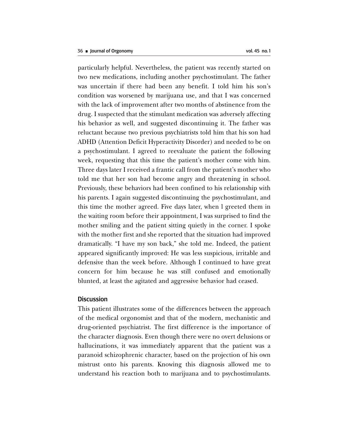particularly helpful. Nevertheless, the patient was recently started on two new medications, including another psychostimulant. The father was uncertain if there had been any benefit. I told him his son's condition was worsened by marijuana use, and that I was concerned with the lack of improvement after two months of abstinence from the drug. I suspected that the stimulant medication was adversely affecting his behavior as well, and suggested discontinuing it. The father was reluctant because two previous psychiatrists told him that his son had ADHD (Attention Deficit Hyperactivity Disorder) and needed to be on a psychostimulant. I agreed to reevaluate the patient the following week, requesting that this time the patient's mother come with him. Three days later I received a frantic call from the patient's mother who told me that her son had become angry and threatening in school. Previously, these behaviors had been confined to his relationship with his parents. I again suggested discontinuing the psychostimulant, and this time the mother agreed. Five days later, when l greeted them in the waiting room before their appointment, I was surprised to find the mother smiling and the patient sitting quietly in the corner. I spoke with the mother first and she reported that the situation had improved dramatically. "I have my son back," she told me. Indeed, the patient appeared significantly improved: He was less suspicious, irritable and defensive than the week before. Although I continued to have great concern for him because he was still confused and emotionally blunted, at least the agitated and aggressive behavior had ceased.

## Discussion

This patient illustrates some of the differences between the approach of the medical orgonomist and that of the modern, mechanistic and drug-oriented psychiatrist. The first difference is the importance of the character diagnosis. Even though there were no overt delusions or hallucinations, it was immediately apparent that the patient was a paranoid schizophrenic character, based on the projection of his own mistrust onto his parents. Knowing this diagnosis allowed me to understand his reaction both to marijuana and to psychostimulants.